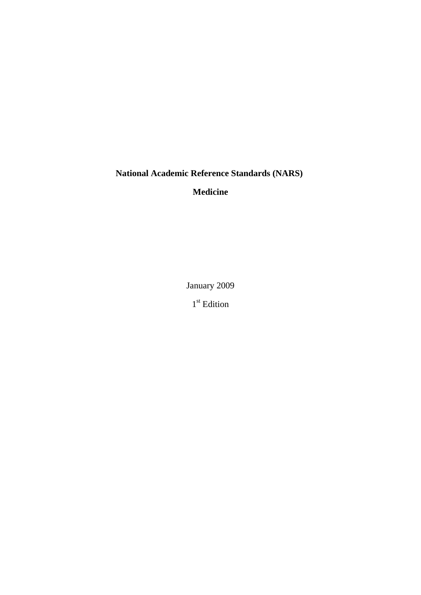**National Academic Reference Standards (NARS)** 

**Medicine**

January 2009

1<sup>st</sup> Edition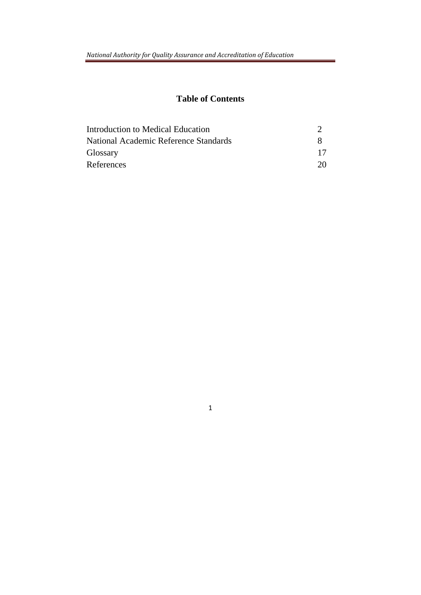# **Table of Contents**

| Introduction to Medical Education     |    |
|---------------------------------------|----|
| National Academic Reference Standards | X  |
| Glossary                              | 17 |
| References                            | 20 |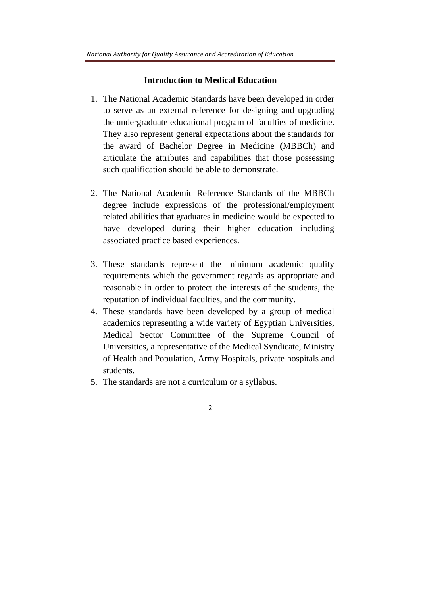#### **Introduction to Medical Education**

- 1. The National Academic Standards have been developed in order to serve as an external reference for designing and upgrading the undergraduate educational program of faculties of medicine. They also represent general expectations about the standards for the award of Bachelor Degree in Medicine **(**MBBCh) and articulate the attributes and capabilities that those possessing such qualification should be able to demonstrate.
- 2. The National Academic Reference Standards of the MBBCh degree include expressions of the professional/employment related abilities that graduates in medicine would be expected to have developed during their higher education including associated practice based experiences.
- 3. These standards represent the minimum academic quality requirements which the government regards as appropriate and reasonable in order to protect the interests of the students, the reputation of individual faculties, and the community.
- 4. These standards have been developed by a group of medical academics representing a wide variety of Egyptian Universities, Medical Sector Committee of the Supreme Council of Universities, a representative of the Medical Syndicate, Ministry of Health and Population, Army Hospitals, private hospitals and students.
- 5. The standards are not a curriculum or a syllabus.

 $\overline{2}$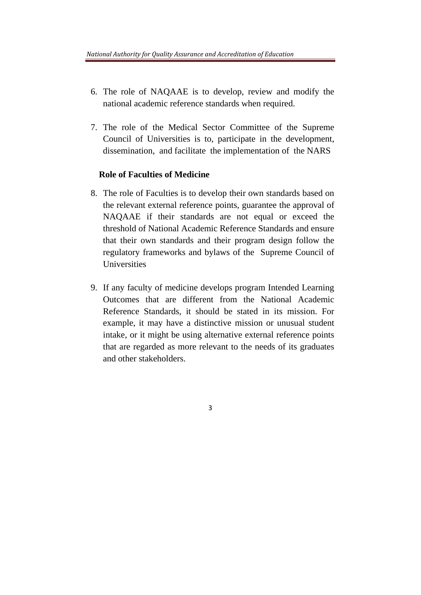- 6. The role of NAQAAE is to develop, review and modify the national academic reference standards when required.
- 7. The role of the Medical Sector Committee of the Supreme Council of Universities is to, participate in the development, dissemination, and facilitate the implementation of the NARS

### **Role of Faculties of Medicine**

- 8. The role of Faculties is to develop their own standards based on the relevant external reference points, guarantee the approval of NAQAAE if their standards are not equal or exceed the threshold of National Academic Reference Standards and ensure that their own standards and their program design follow the regulatory frameworks and bylaws of the Supreme Council of **Universities**
- 9. If any faculty of medicine develops program Intended Learning Outcomes that are different from the National Academic Reference Standards, it should be stated in its mission. For example, it may have a distinctive mission or unusual student intake, or it might be using alternative external reference points that are regarded as more relevant to the needs of its graduates and other stakeholders.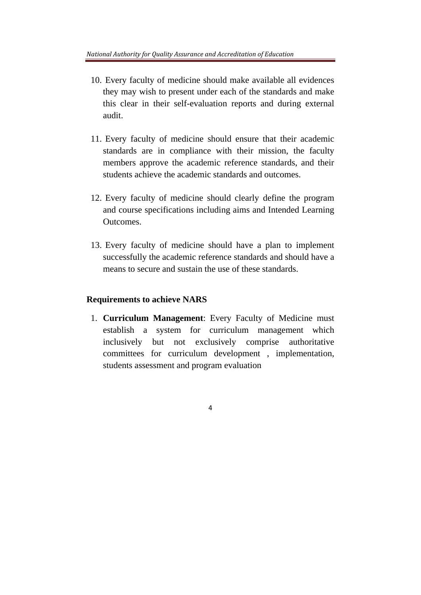- 10. Every faculty of medicine should make available all evidences they may wish to present under each of the standards and make this clear in their self-evaluation reports and during external audit.
- 11. Every faculty of medicine should ensure that their academic standards are in compliance with their mission, the faculty members approve the academic reference standards, and their students achieve the academic standards and outcomes.
- 12. Every faculty of medicine should clearly define the program and course specifications including aims and Intended Learning Outcomes.
- 13. Every faculty of medicine should have a plan to implement successfully the academic reference standards and should have a means to secure and sustain the use of these standards.

## **Requirements to achieve NARS**

1. **Curriculum Management**: Every Faculty of Medicine must establish a system for curriculum management which inclusively but not exclusively comprise authoritative committees for curriculum development , implementation, students assessment and program evaluation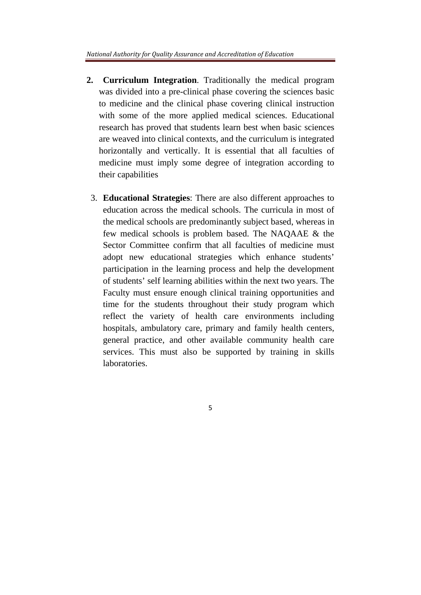*National Authority for Quality Assurance and Accreditation of Education* 

- **2. Curriculum Integration**. Traditionally the medical program was divided into a pre-clinical phase covering the sciences basic to medicine and the clinical phase covering clinical instruction with some of the more applied medical sciences. Educational research has proved that students learn best when basic sciences are weaved into clinical contexts, and the curriculum is integrated horizontally and vertically. It is essential that all faculties of medicine must imply some degree of integration according to their capabilities
	- 3. **Educational Strategies**: There are also different approaches to education across the medical schools. The curricula in most of the medical schools are predominantly subject based, whereas in few medical schools is problem based. The NAQAAE & the Sector Committee confirm that all faculties of medicine must adopt new educational strategies which enhance students' participation in the learning process and help the development of students' self learning abilities within the next two years. The Faculty must ensure enough clinical training opportunities and time for the students throughout their study program which reflect the variety of health care environments including hospitals, ambulatory care, primary and family health centers, general practice, and other available community health care services. This must also be supported by training in skills laboratories.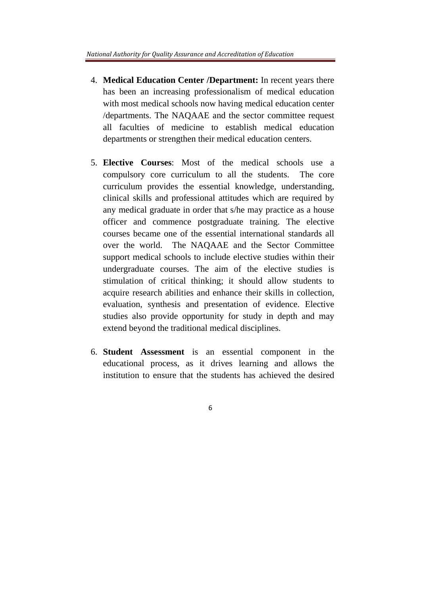- 4. **Medical Education Center /Department:** In recent years there has been an increasing professionalism of medical education with most medical schools now having medical education center /departments. The NAQAAE and the sector committee request all faculties of medicine to establish medical education departments or strengthen their medical education centers.
- 5. **Elective Courses**: Most of the medical schools use a compulsory core curriculum to all the students. The core curriculum provides the essential knowledge, understanding, clinical skills and professional attitudes which are required by any medical graduate in order that s/he may practice as a house officer and commence postgraduate training. The elective courses became one of the essential international standards all over the world. The NAQAAE and the Sector Committee support medical schools to include elective studies within their undergraduate courses. The aim of the elective studies is stimulation of critical thinking; it should allow students to acquire research abilities and enhance their skills in collection, evaluation, synthesis and presentation of evidence. Elective studies also provide opportunity for study in depth and may extend beyond the traditional medical disciplines.
- 6. **Student Assessment** is an essential component in the educational process, as it drives learning and allows the institution to ensure that the students has achieved the desired
	- 6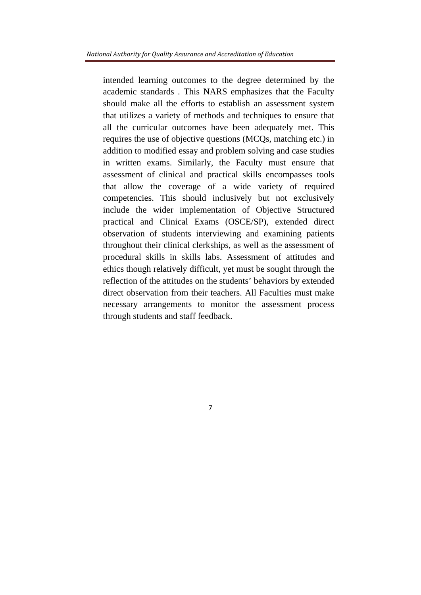intended learning outcomes to the degree determined by the academic standards . This NARS emphasizes that the Faculty should make all the efforts to establish an assessment system that utilizes a variety of methods and techniques to ensure that all the curricular outcomes have been adequately met. This requires the use of objective questions (MCQs, matching etc.) in addition to modified essay and problem solving and case studies in written exams. Similarly, the Faculty must ensure that assessment of clinical and practical skills encompasses tools that allow the coverage of a wide variety of required competencies. This should inclusively but not exclusively include the wider implementation of Objective Structured practical and Clinical Exams (OSCE/SP), extended direct observation of students interviewing and examining patients throughout their clinical clerkships, as well as the assessment of procedural skills in skills labs. Assessment of attitudes and ethics though relatively difficult, yet must be sought through the reflection of the attitudes on the students' behaviors by extended direct observation from their teachers. All Faculties must make necessary arrangements to monitor the assessment process through students and staff feedback.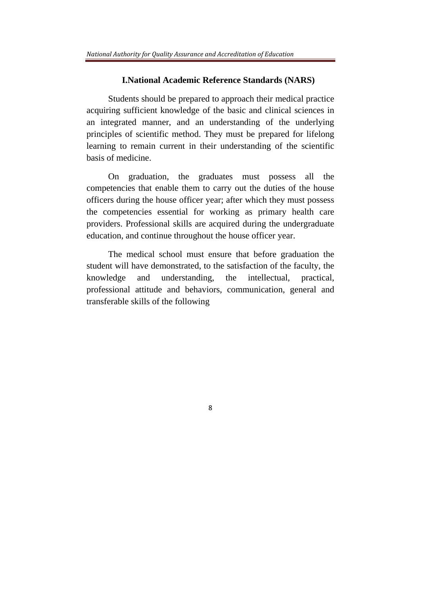#### **I.National Academic Reference Standards (NARS)**

Students should be prepared to approach their medical practice acquiring sufficient knowledge of the basic and clinical sciences in an integrated manner, and an understanding of the underlying principles of scientific method. They must be prepared for lifelong learning to remain current in their understanding of the scientific basis of medicine.

On graduation, the graduates must possess all the competencies that enable them to carry out the duties of the house officers during the house officer year; after which they must possess the competencies essential for working as primary health care providers. Professional skills are acquired during the undergraduate education, and continue throughout the house officer year.

The medical school must ensure that before graduation the student will have demonstrated, to the satisfaction of the faculty, the knowledge and understanding, the intellectual, practical, professional attitude and behaviors, communication, general and transferable skills of the following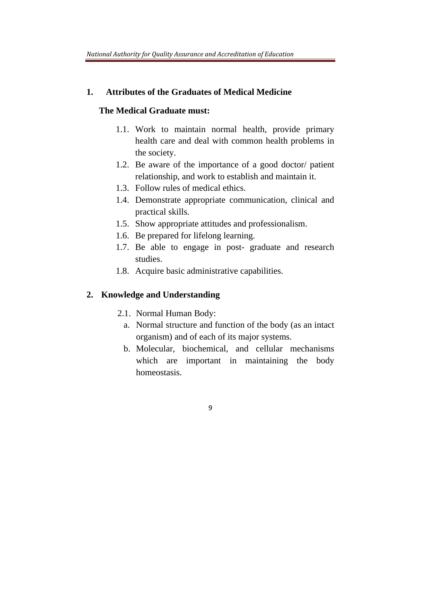## **1. Attributes of the Graduates of Medical Medicine**

### **The Medical Graduate must:**

- 1.1. Work to maintain normal health, provide primary health care and deal with common health problems in the society.
- 1.2. Be aware of the importance of a good doctor/ patient relationship, and work to establish and maintain it.
- 1.3. Follow rules of medical ethics.
- 1.4. Demonstrate appropriate communication, clinical and practical skills.
- 1.5. Show appropriate attitudes and professionalism.
- 1.6. Be prepared for lifelong learning.
- 1.7. Be able to engage in post- graduate and research studies.
- 1.8. Acquire basic administrative capabilities.

## **2. Knowledge and Understanding**

- 2.1. Normal Human Body:
	- a. Normal structure and function of the body (as an intact organism) and of each of its major systems.
	- b. Molecular, biochemical, and cellular mechanisms which are important in maintaining the body homeostasis.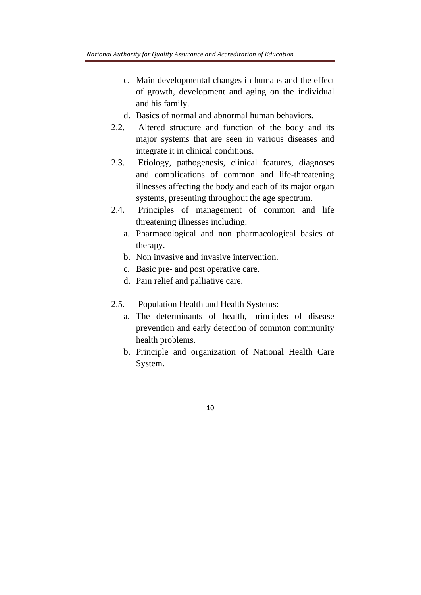- c. Main developmental changes in humans and the effect of growth, development and aging on the individual and his family.
- d. Basics of normal and abnormal human behaviors.
- 2.2. Altered structure and function of the body and its major systems that are seen in various diseases and integrate it in clinical conditions.
- 2.3. Etiology, pathogenesis, clinical features, diagnoses and complications of common and life-threatening illnesses affecting the body and each of its major organ systems, presenting throughout the age spectrum.
- 2.4. Principles of management of common and life threatening illnesses including:
	- a. Pharmacological and non pharmacological basics of therapy.
	- b. Non invasive and invasive intervention.
	- c. Basic pre- and post operative care.
	- d. Pain relief and palliative care.
- 2.5. Population Health and Health Systems:
	- a. The determinants of health, principles of disease prevention and early detection of common community health problems.
	- b. Principle and organization of National Health Care System.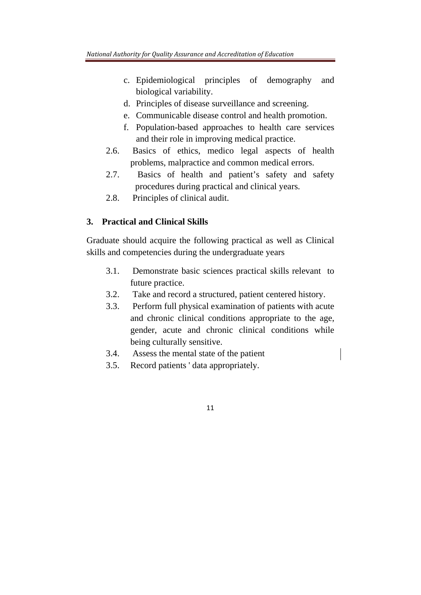- c. Epidemiological principles of demography and biological variability.
- d. Principles of disease surveillance and screening.
- e. Communicable disease control and health promotion.
- f. Population-based approaches to health care services and their role in improving medical practice.
- 2.6. Basics of ethics, medico legal aspects of health problems, malpractice and common medical errors.
- 2.7. Basics of health and patient's safety and safety procedures during practical and clinical years.
- 2.8. Principles of clinical audit.

## **3. Practical and Clinical Skills**

Graduate should acquire the following practical as well as Clinical skills and competencies during the undergraduate years

- 3.1. Demonstrate basic sciences practical skills relevant to future practice.
- 3.2. Take and record a structured, patient centered history.
- 3.3. Perform full physical examination of patients with acute and chronic clinical conditions appropriate to the age, gender, acute and chronic clinical conditions while being culturally sensitive.
- 3.4. Assess the mental state of the patient
- 3.5. Record patients ' data appropriately.
	- 11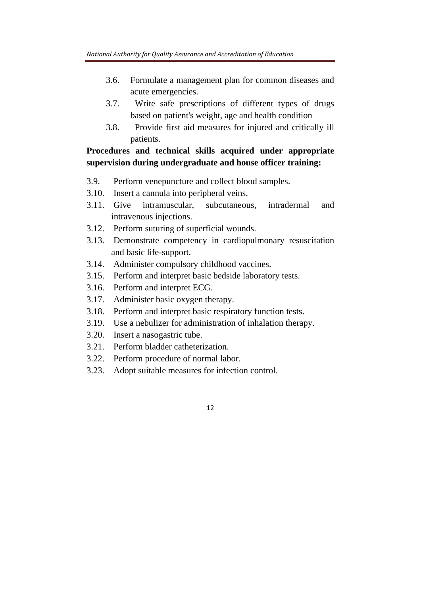- 3.6. Formulate a management plan for common diseases and acute emergencies.
- 3.7. Write safe prescriptions of different types of drugs based on patient's weight, age and health condition
- 3.8. Provide first aid measures for injured and critically ill patients.

## **Procedures and technical skills acquired under appropriate supervision during undergraduate and house officer training:**

- 3.9. Perform venepuncture and collect blood samples.
- 3.10. Insert a cannula into peripheral veins.
- 3.11. Give intramuscular, subcutaneous, intradermal and intravenous injections.
- 3.12. Perform suturing of superficial wounds.
- 3.13. Demonstrate competency in cardiopulmonary resuscitation and basic life-support.
- 3.14. Administer compulsory childhood vaccines.
- 3.15. Perform and interpret basic bedside laboratory tests.
- 3.16. Perform and interpret ECG.
- 3.17. Administer basic oxygen therapy.
- 3.18. Perform and interpret basic respiratory function tests.
- 3.19. Use a nebulizer for administration of inhalation therapy.
- 3.20. Insert a nasogastric tube.
- 3.21. Perform bladder catheterization.
- 3.22. Perform procedure of normal labor.
- 3.23. Adopt suitable measures for infection control.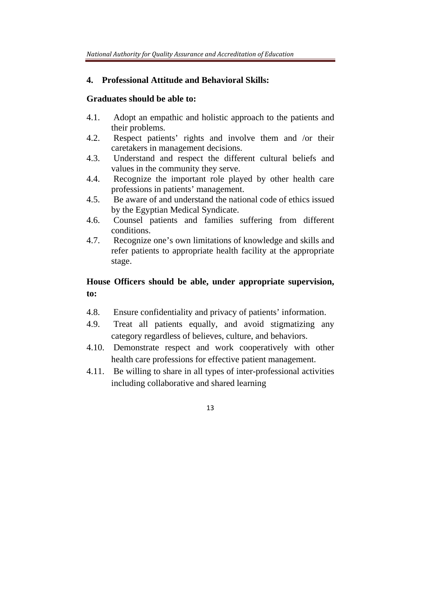## **4. Professional Attitude and Behavioral Skills:**

#### **Graduates should be able to:**

- 4.1. Adopt an empathic and holistic approach to the patients and their problems.
- 4.2. Respect patients' rights and involve them and /or their caretakers in management decisions.
- 4.3. Understand and respect the different cultural beliefs and values in the community they serve.
- 4.4. Recognize the important role played by other health care professions in patients' management.
- 4.5. Be aware of and understand the national code of ethics issued by the Egyptian Medical Syndicate.
- 4.6. Counsel patients and families suffering from different conditions.
- 4.7. Recognize one's own limitations of knowledge and skills and refer patients to appropriate health facility at the appropriate stage.

## **House Officers should be able, under appropriate supervision, to:**

- 4.8. Ensure confidentiality and privacy of patients' information.
- 4.9. Treat all patients equally, and avoid stigmatizing any category regardless of believes, culture, and behaviors.
- 4.10. Demonstrate respect and work cooperatively with other health care professions for effective patient management.
- 4.11. Be willing to share in all types of inter-professional activities including collaborative and shared learning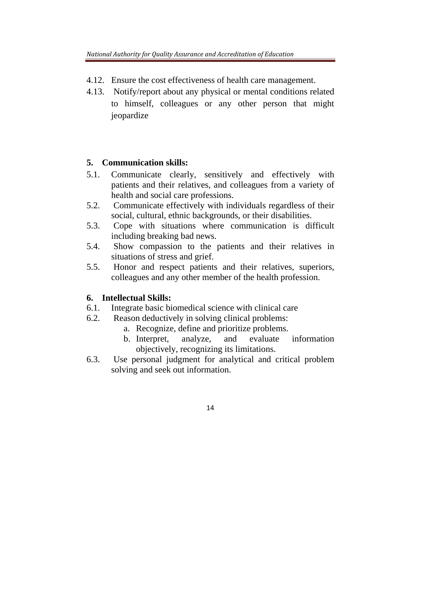- 4.12. Ensure the cost effectiveness of health care management.
- 4.13. Notify/report about any physical or mental conditions related to himself, colleagues or any other person that might jeopardize

## **5. Communication skills:**

- 5.1. Communicate clearly, sensitively and effectively with patients and their relatives, and colleagues from a variety of health and social care professions.
- 5.2. Communicate effectively with individuals regardless of their social, cultural, ethnic backgrounds, or their disabilities.
- 5.3. Cope with situations where communication is difficult including breaking bad news.
- 5.4. Show compassion to the patients and their relatives in situations of stress and grief.
- 5.5. Honor and respect patients and their relatives, superiors, colleagues and any other member of the health profession.

## **6. Intellectual Skills:**

- 6.1. Integrate basic biomedical science with clinical care
- 6.2. Reason deductively in solving clinical problems:
	- a. Recognize, define and prioritize problems.
	- b. Interpret, analyze, and evaluate information objectively, recognizing its limitations.
- 6.3. Use personal judgment for analytical and critical problem solving and seek out information.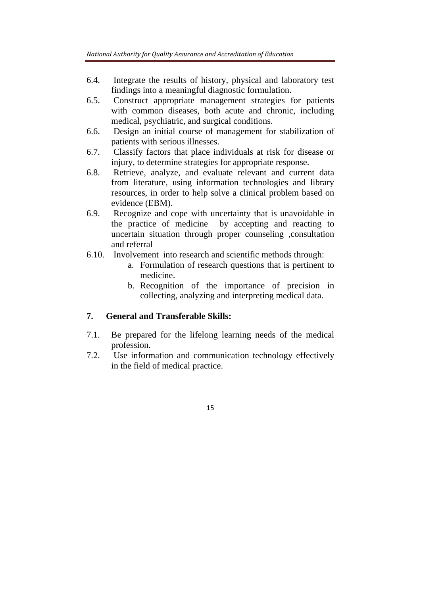- 6.4. Integrate the results of history, physical and laboratory test findings into a meaningful diagnostic formulation.
- 6.5. Construct appropriate management strategies for patients with common diseases, both acute and chronic, including medical, psychiatric, and surgical conditions.
- 6.6. Design an initial course of management for stabilization of patients with serious illnesses.
- 6.7. Classify factors that place individuals at risk for disease or injury, to determine strategies for appropriate response.
- 6.8. Retrieve, analyze, and evaluate relevant and current data from literature, using information technologies and library resources, in order to help solve a clinical problem based on evidence (EBM).
- 6.9. Recognize and cope with uncertainty that is unavoidable in the practice of medicine by accepting and reacting to uncertain situation through proper counseling ,consultation and referral
- 6.10. Involvement into research and scientific methods through:
	- a. Formulation of research questions that is pertinent to medicine.
	- b. Recognition of the importance of precision in collecting, analyzing and interpreting medical data.

## **7. General and Transferable Skills:**

- 7.1. Be prepared for the lifelong learning needs of the medical profession.
- 7.2. Use information and communication technology effectively in the field of medical practice.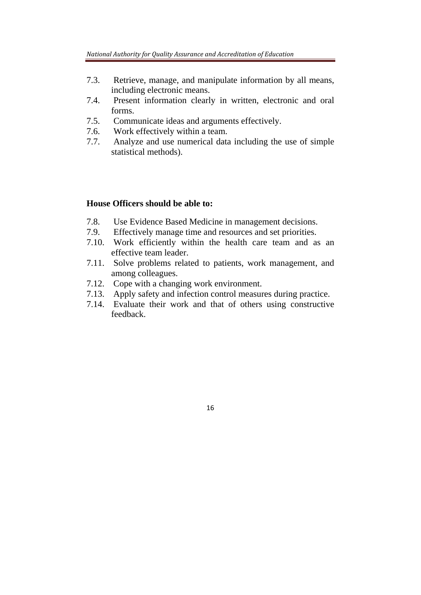- 7.3. Retrieve, manage, and manipulate information by all means, including electronic means.
- 7.4. Present information clearly in written, electronic and oral forms.
- 7.5. Communicate ideas and arguments effectively.
- 7.6. Work effectively within a team.
- 7.7. Analyze and use numerical data including the use of simple statistical methods).

#### **House Officers should be able to:**

- 7.8. Use Evidence Based Medicine in management decisions.
- 7.9. Effectively manage time and resources and set priorities.
- 7.10. Work efficiently within the health care team and as an effective team leader.
- 7.11. Solve problems related to patients, work management, and among colleagues.
- 7.12. Cope with a changing work environment.
- 7.13. Apply safety and infection control measures during practice.
- 7.14. Evaluate their work and that of others using constructive feedback.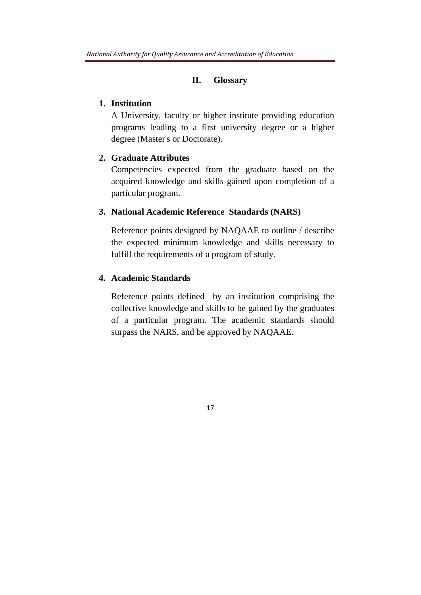#### **II. Glossary**

## **1. Institution**

A University, faculty or higher institute providing education programs leading to a first university degree or a higher degree (Master's or Doctorate).

## **2. Graduate Attributes**

Competencies expected from the graduate based on the acquired knowledge and skills gained upon completion of a particular program.

## **3. National Academic Reference Standards (NARS)**

Reference points designed by NAQAAE to outline / describe the expected minimum knowledge and skills necessary to fulfill the requirements of a program of study*.*

## **4. Academic Standards**

Reference points defined by an institution comprising the collective knowledge and skills to be gained by the graduates of a particular program. The academic standards should surpass the NARS, and be approved by NAQAAE.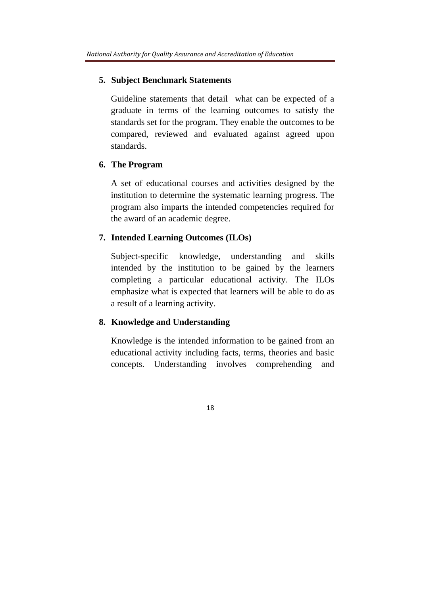#### **5. Subject Benchmark Statements**

Guideline statements that detail what can be expected of a graduate in terms of the learning outcomes to satisfy the standards set for the program. They enable the outcomes to be compared, reviewed and evaluated against agreed upon standards.

#### **6. The Program**

A set of educational courses and activities designed by the institution to determine the systematic learning progress. The program also imparts the intended competencies required for the award of an academic degree.

## **7. Intended Learning Outcomes (ILOs)**

Subject-specific knowledge, understanding and skills intended by the institution to be gained by the learners completing a particular educational activity. The ILOs emphasize what is expected that learners will be able to do as a result of a learning activity.

## **8. Knowledge and Understanding**

Knowledge is the intended information to be gained from an educational activity including facts, terms, theories and basic concepts. Understanding involves comprehending and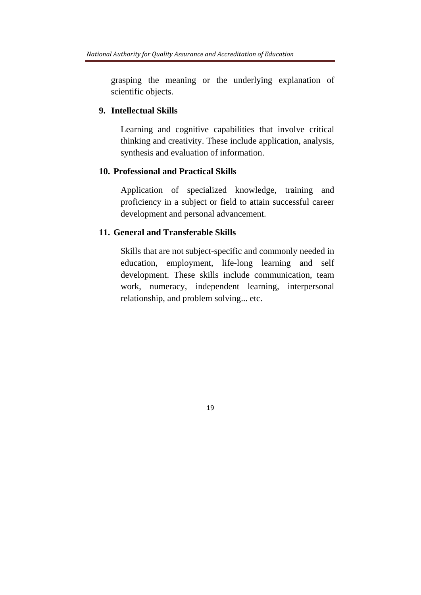grasping the meaning or the underlying explanation of scientific objects.

#### **9. Intellectual Skills**

Learning and cognitive capabilities that involve critical thinking and creativity. These include application, analysis, synthesis and evaluation of information.

### **10. Professional and Practical Skills**

Application of specialized knowledge, training and proficiency in a subject or field to attain successful career development and personal advancement.

### **11. General and Transferable Skills**

Skills that are not subject-specific and commonly needed in education, employment, life-long learning and self development. These skills include communication, team work, numeracy, independent learning, interpersonal relationship, and problem solving... etc.